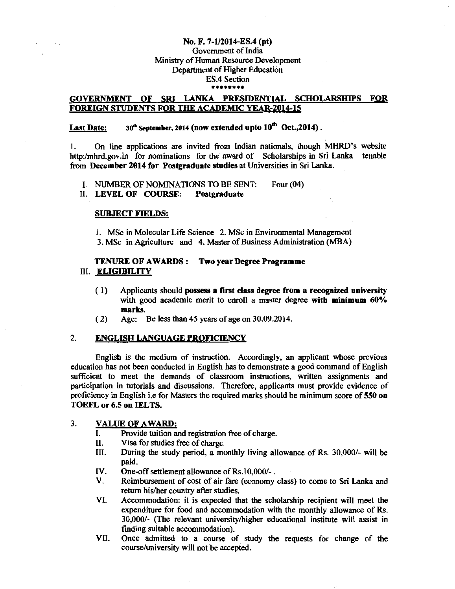#### No. F. 7-1/2014-ES.4 (pt)

#### Government of India Ministry of Human Resource Development Department of Higher Education ES.4 Section \*\*\*\*\*\*\*\*

## GOVERNMENT OF SRI LANKA PRESIDENTIAL SCHOLARSHIPS FOR FOREIGN STUDENTS FOR THE ACADEMIC YEAR-2014-15

# Last Date:  $30^{\text{th}}$  September, 2014 (now extended upto  $10^{\text{th}}$  Oct., 2014).

I. On line applications are invited from Indian nationals, though MHRD's website http:/mhrd.gov.in for nominations for the award of Scholarships in Sri Lanka tenable from December 2014 for Postgraduate studies at Universities in Sri Lanka.

I. NUMBER OF NOMINATIONS TO BE SENT: Four (04)

II. LEVEL OF COURSE: Postgraduate

#### SUBJECT FIELDS:

I. MSc in Molecular Life Science 2. MSc in Environmental Management 3. MSc in Agriculture and 4. Master of Business Administration (MBA)

### TENURE OF AWARDS : Two year Degree Programme III. ELIGIBILITY

- ( 1) Applicants should possess a first class degree from a recognized university with good academic merit to enroll a master degree with minimum 60% marks.
- ( 2) Age: Be less than 45 years of age on 30.09.2014.

### 2. ENGLISH LANGUAGE PROFICIENCY

English is the medium of instruction. Accordingly, an applicant whose previous education has not been conducted in English has to demonstrate a good command of English sufficient to meet the demands of classroom instructions, written assignments and participation in tutorials and discussions. Therefore, applicants must provide evidence of proficiency in English i.e for Masters the required marks should be minimum score of 550 on TOEFL or 6.5 on IELTS.

#### 3. VALUE OF AWARD:

- I. Provide tuition and registration free of charge.
- II. Visa for studies free of charge.
- III. During the study period, a monthly living allowance of Rs. 30,000/- will be paid.
- IV. One-off settlement allowance of Rs.10,000/-.
- V. Reimbursement of cost of air fare (economy class) to come to Sri Lanka and return his/her country after studies.
- VI. Accommodation: it is expected that the scholarship recipient will meet the expenditure for food and accommodation with the monthly allowance of Rs. 30,000/- (The relevant university/higher educational institute will assist in finding suitable accommodation).
- VII. Once admitted to a course of study the requests for change of the course/university will not be accepted.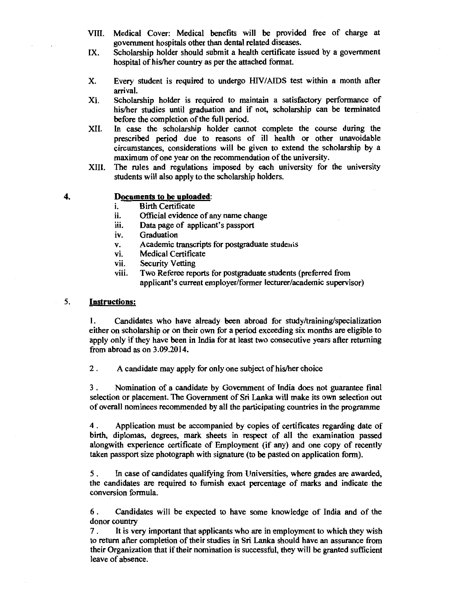- VIII. Medical Cover: Medical benefits will be provided free of charge at government hospitals other than dental related diseases.
- IX. Scholarship holder should submit a health certificate issued by a government hospital of his/her country as per the attached format.
- X. Every student is required to undergo HIV/AIDS test within a month after arrival.
- XI. Scholarship holder is required to maintain a satisfactory performance of his/her studies until graduation and if not, scholarship can be terminated before the completion of the full period.
- XII. In case the scholarship holder cannot complete the course during the prescribed period due to reasons of ill health or other unavoidable circumstances, considerations will be given to extend the scholarship by a maximum of one year on the recommendation of the university.
- XIII. The rules and regulations imposed by each university for the university students will also apply to the scholarship holders.
- 

## **4. Documents to be uploaded:**

- i. Birth Certificate
- ii. Official evidence of any name change
- iii. Data page of applicant's passport
- iv. Graduation
- v. Academic transcripts for postgraduate students
- vi. Medical Certificate
- vii. Security Vetting
- viii. Two Referee reports for postgraduate students (preferred from applicant's current employer/former lecturer/academic supervisor)

#### *5.* **Instructions:**

I. Candidates who have already been abroad for study/training/specialization either on scholarship or on their own for a period exceeding six months are eligible to apply only if they have been in India for at least two consecutive years after returning from abroad as on 3.09.2014.

2 . A candidate may apply for only one subject of his/her choice

3 . Nomination of a candidate by Government of India does not guarantee final selection or placement. The Government of Sri Lanka will make its own selection out of overall nominees recommended by all the participating countries in the programme

4 . Application must be accompanied by copies of certificates regarding date of birth, diplomas, degrees, mark sheets in respect of all the examination passed alongwith experience certificate of Employment (if any) and one copy of recently taken passport size photograph with signature (to be pasted on application form).

*5* . In case of candidates qualifying from Universities, where grades are awarded, the candidates are required to furnish exact percentage of marks and indicate the conversion formula.

6 . Candidates will be expected to have some knowledge of India and of the donor country

7 . It is very important that applicants who are in employment to which they wish to return after completion of their studies in Sri Lanka should have an assurance from their Organization that if their nomination is successful, they will be granted sufficient leave of absence.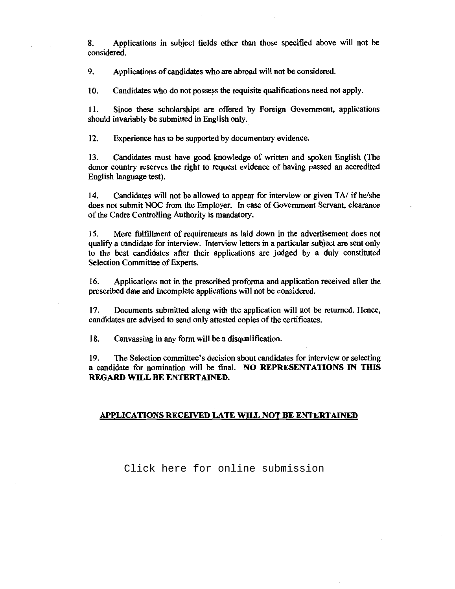8. Applications in subject fields other than those specified above will not be considered.

9. Applications of candidates who are abroad will not be considered.

10. Candidates who do not possess the requisite qualifications need not apply.

II. Since these scholarships are offered by Foreign Government, applications should invariably be submitted in English only.

12. Experience has to be supported by documentary evidence.

13. Candidates must have good knowledge of written and spoken English (The donor country reserves the right to request evidence of having passed an accredited English language test).

14. Candidates will not be allowed to appear for interview or given *TN* if he/she does not submit NOC from the Employer. In case of Government Servant, clearance of the Cadre Controlling Authority is mandatory.

15. Mere fulfillment of requirements as laid down in the advertisement does not qualify a candidate for interview. Interview letters in a particular subject are sent only to the best candidates after their applications are judged by a duly constituted Selection Committee of Experts.

16. Applications not in the prescribed proforma and application received after the prescribed date and incomplete applications will not be considered.

17. Documents submitted along with the application will not be returned. Hence, candidates are advised to send only attested copies of the certificates.

18. Canvassing in any form will be a disqualification.

19. The Selection committee's decision about candidates for interview or selecting a candidate for nomination will be fmal. **NO REPRESENTATIONS IN THIS REGARD WILL BE ENTERTAINED.** 

#### **APPLICATIONS RECEIVED LATE WILL NOT BE ENTERTAINED**

[Click here for online submission](http://proposal.sakshat.ac.in/scholarship/)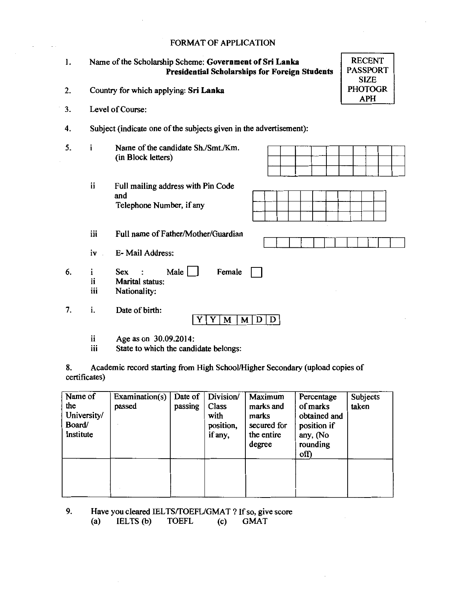## FORMAT OF APPLICATION

| 1. |                                                                    | <b>RECENT</b><br>Name of the Scholarship Scheme: Government of Sri Lanka<br><b>PASSPORT</b><br><b>Presidential Scholarships for Foreign Students</b><br><b>SIZE</b> |  |  |  |  |  |  |  |
|----|--------------------------------------------------------------------|---------------------------------------------------------------------------------------------------------------------------------------------------------------------|--|--|--|--|--|--|--|
| 2. |                                                                    | <b>PHOTOGR</b><br>Country for which applying: Sri Lanka<br><b>APH</b>                                                                                               |  |  |  |  |  |  |  |
| 3. | Level of Course:                                                   |                                                                                                                                                                     |  |  |  |  |  |  |  |
| 4. | Subject (indicate one of the subjects given in the advertisement): |                                                                                                                                                                     |  |  |  |  |  |  |  |
| 5. | i                                                                  | Name of the candidate Sh./Smt./Km.<br>(in Block letters)                                                                                                            |  |  |  |  |  |  |  |
|    | ii                                                                 | Full mailing address with Pin Code<br>and<br>Telephone Number, if any                                                                                               |  |  |  |  |  |  |  |
|    | iii                                                                | Full name of Father/Mother/Guardian                                                                                                                                 |  |  |  |  |  |  |  |
|    | iv                                                                 | E-Mail Address:                                                                                                                                                     |  |  |  |  |  |  |  |
| 6. | i<br>ii<br>iii                                                     | Male    <br><b>Sex</b><br>Female<br>Marital status:<br>Nationality:                                                                                                 |  |  |  |  |  |  |  |

7. i. Date of birth:

 $YY$   $M$   $M$   $D$   $D$ 

ii Age as on 30.09.2014:<br>iii State to which the candi

State to which the candidate belongs:

8. Academic record starting from High School/Higher Secondary (upload copies of certificates)

| Name of<br>the<br>University/<br>Board/<br>Institute | Examination(s)<br>passed | Date of<br>passing | Division/<br>Class<br>with<br>position,<br>if any, | Maximum<br>marks and<br>marks<br>secured for<br>the entire<br>degree | Percentage<br>of marks<br>obtained and<br>position if<br>any, (No<br>rounding<br>off) | Subjects<br>taken |
|------------------------------------------------------|--------------------------|--------------------|----------------------------------------------------|----------------------------------------------------------------------|---------------------------------------------------------------------------------------|-------------------|
|                                                      |                          |                    |                                                    |                                                                      |                                                                                       |                   |

9. Have you cleared IELTS/TOEFL/GMAT ? If so, give score<br>(a) IELTS (b) TOEFL (c) GMAT  $IELTS(b)$